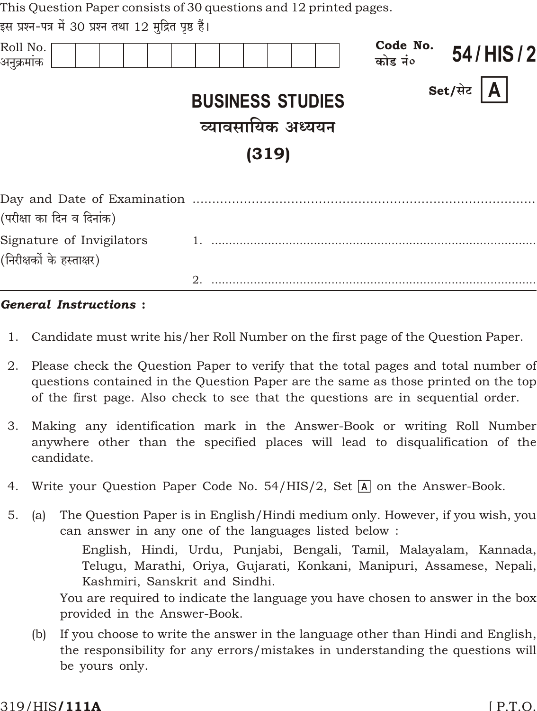| This Question Paper consists of 30 questions and 12 printed pages. |  |
|--------------------------------------------------------------------|--|
| दम पञ्च-पत्र में २∩ पञ्च तथा 1つ मदित पष्ट हैं।                     |  |

| Roll No.<br>अनुक्रमांक                                 |                                                       | Code No.<br>कोड नं० | 54/HIS/2                |
|--------------------------------------------------------|-------------------------------------------------------|---------------------|-------------------------|
|                                                        | <b>BUSINESS STUDIES</b><br>व्यावसायिक अध्ययन<br>(319) |                     | $\mathsf{A}$<br>Set/सेट |
| (परीक्षा का दिन व दिनांक)                              |                                                       |                     |                         |
| Signature of Invigilators<br>(निरीक्षकों के हस्ताक्षर) |                                                       |                     |                         |
|                                                        |                                                       |                     |                         |

#### **General Instructions:**

- 1. Candidate must write his/her Roll Number on the first page of the Question Paper.
- Please check the Question Paper to verify that the total pages and total number of 2. questions contained in the Question Paper are the same as those printed on the top of the first page. Also check to see that the questions are in sequential order.
- Making any identification mark in the Answer-Book or writing Roll Number 3. anywhere other than the specified places will lead to disqualification of the candidate.
- 4. Write your Question Paper Code No. 54/HIS/2, Set  $\overline{A}$  on the Answer-Book.
- $5<sub>1</sub>$ The Question Paper is in English/Hindi medium only. However, if you wish, you  $(a)$ can answer in any one of the languages listed below:

English, Hindi, Urdu, Punjabi, Bengali, Tamil, Malayalam, Kannada, Telugu, Marathi, Oriya, Gujarati, Konkani, Manipuri, Assamese, Nepali, Kashmiri, Sanskrit and Sindhi.

You are required to indicate the language you have chosen to answer in the box provided in the Answer-Book.

If you choose to write the answer in the language other than Hindi and English,  $(b)$ the responsibility for any errors/mistakes in understanding the questions will be yours only.

#### 319/HIS**/111A**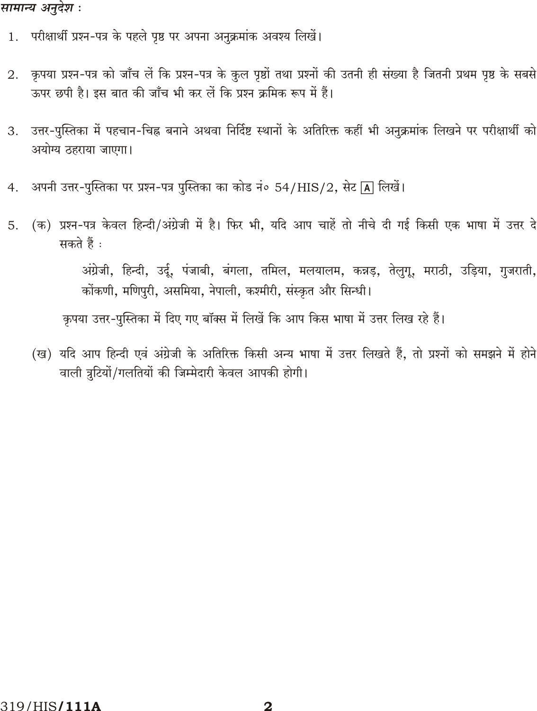#### सामान्य अनुदेश :

- 1. परीक्षार्थी प्रश्न-पत्र के पहले पृष्ठ पर अपना अनुक्रमांक अवश्य लिखें।
- कृपया प्रश्न-पत्र को जाँच लें कि प्रश्न-पत्र के कुल पृष्ठों तथा प्रश्नों की उतनी ही संख्या है जितनी प्रथम पृष्ठ के सबसे 2. ऊपर छपी है। इस बात की जाँच भी कर लें कि प्रश्न क्रमिक रूप में हैं।
- उत्तर-पुस्तिका में पहचान-चिह्न बनाने अथवा निर्दिष्ट स्थानों के अतिरिक्त कहीं भी अनुक्रमांक लिखने पर परीक्षार्थी को 3. अयोग्य ठहराया जाएगा।
- अपनी उत्तर-पुस्तिका पर प्रश्न-पत्र पुस्तिका का कोड नं० 54/HIS/2, सेट [A] लिखें।  $4.$
- (क) प्रश्न-पत्र केवल हिन्दी/अंग्रेजी में है। फिर भी, यदि आप चाहें तो नीचे दी गई किसी एक भाषा में उत्तर दे 5. सकते हैं :

अंग्रेजी, हिन्दी, उर्दू, पंजाबी, बंगला, तमिल, मलयालम, कन्नड़, तेलुगू, मराठी, उड़िया, गुजराती, कोंकणी, मणिपुरी, असमिया, नेपाली, कश्मीरी, संस्कृत और सिन्धी।

कृपया उत्तर-पुस्तिका में दिए गए बॉक्स में लिखें कि आप किस भाषा में उत्तर लिख रहे हैं।

(ख) यदि आप हिन्दी एवं अंग्रेजी के अतिरिक्त किसी अन्य भाषा में उत्तर लिखते हैं, तो प्रश्नों को समझने में होने वाली त्रुटियों/गलतियों की जिम्मेदारी केवल आपकी होगी।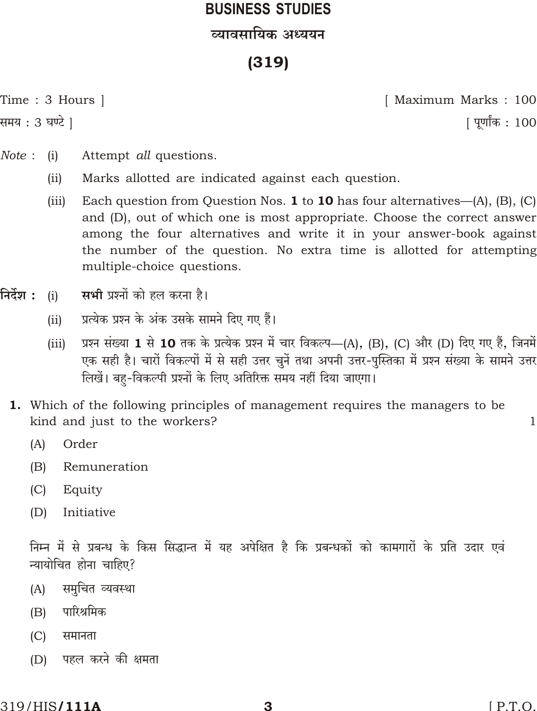# **BUSINESS STUDIES** व्यावसायिक अध्ययन

## $(319)$

Time : 3 Hours |

समय : 3 घण्टे ]

[ Maximum Marks: 100 <u>|</u> पूर्णांक : 100

- Note:  $(i)$ Attempt all questions.
	- $(ii)$ Marks allotted are indicated against each question.
	- Each question from Question Nos. 1 to 10 has four alternatives— $(A)$ ,  $(B)$ ,  $(C)$  $(iii)$ and (D), out of which one is most appropriate. Choose the correct answer among the four alternatives and write it in your answer-book against the number of the question. No extra time is allotted for attempting multiple-choice questions.
- निर्देश : सभी प्रश्नों को हल करना है।  $(i)$ 
	- प्रत्येक प्रश्न के अंक उसके सामने दिए गए हैं।  $(ii)$
	- प्रश्न संख्या 1 से 10 तक के प्रत्येक प्रश्न में चार विकल्प—(A), (B), (C) और (D) दिए गए हैं, जिनमें  $(iii)$ एक सही है। चारों विकल्पों में से सही उत्तर चुनें तथा अपनी उत्तर-पुस्तिका में प्रश्न संख्या के सामने उत्तर लिखें। बह-विकल्पी प्रश्नों के लिए अतिरिक्त समय नहीं दिया जाएगा।
	- 1. Which of the following principles of management requires the managers to be kind and just to the workers?
		- $(A)$ Order
		- $(B)$ Remuneration
		- $(C)$ Equity
		- Initiative  $(D)$

निम्न में से प्रबन्ध के किस सिद्धान्त में यह अपेक्षित है कि प्रबन्धकों को कामगारों के प्रति उदार एवं न्यायोचित होना चाहिए?

- समुचित व्यवस्था  $(A)$
- पारिश्रमिक  $(B)$
- $(C)$ समानता
- पहल करने की क्षमता  $(D)$

 $\mathbf{1}$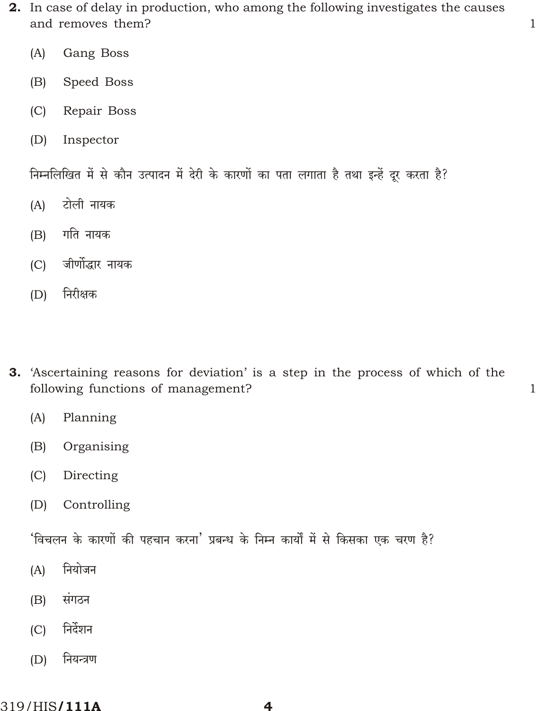2. In case of delay in production, who among the following investigates the causes and removes them?

 $\overline{1}$ 

 $\mathbf{1}$ 

- Gang Boss  $(A)$
- $(B)$ Speed Boss
- $(C)$ Repair Boss
- $(D)$ Inspector

निम्नलिखित में से कौन उत्पादन में देरी के कारणों का पता लगाता है तथा इन्हें दूर करता है?

- टोली नायक  $(A)$
- गति नायक  $(B)$
- $(C)$ जीर्णोद्धार नायक
- निरीक्षक  $(D)$
- 3. 'Ascertaining reasons for deviation' is a step in the process of which of the following functions of management?
	- $(A)$ Planning
	- Organising  $(B)$
	- $(C)$ Directing
	- $(D)$ Controlling

'विचलन के कारणों की पहचान करना' प्रबन्ध के निम्न कार्यों में से किसका एक चरण है?

- नियोजन  $(A)$
- संगठन  $(B)$
- निर्देशन  $(C)$
- नियन्त्रण  $(D)$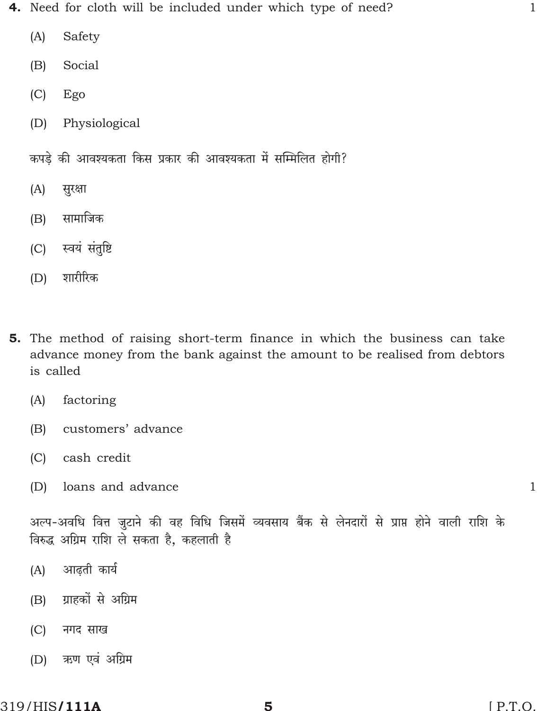- 4. Need for cloth will be included under which type of need?
	- $(A)$ Safety
	- Social  $(B)$
	- $(C)$ Ego
	- Physiological  $(D)$
	- कपडे की आवश्यकता किस प्रकार की आवश्यकता में सम्मिलित होगी?
	- सुरक्षा  $(A)$
	- सामाजिक  $(B)$
	- स्वयं संतुष्टि  $(C)$
	- शारीरिक  $(D)$
- 5. The method of raising short-term finance in which the business can take advance money from the bank against the amount to be realised from debtors is called
	- $(A)$ factoring
	- $(B)$ customers' advance
	- cash credit  $(C)$
	- $(D)$ loans and advance

 $\mathbf{1}$ 

 $\mathbf{1}$ 

अल्प-अवधि वित्त जुटाने की वह विधि जिसमें व्यवसाय बैंक से लेनदारों से प्राप्त होने वाली राशि के विरुद्ध अग्रिम राशि ले सकता है, कहलाती है

- आढती कार्य  $(A)$
- ग्राहकों से अग्रिम  $(B)$
- $(C)$ नगद साख
- ऋण एवं अग्रिम  $(D)$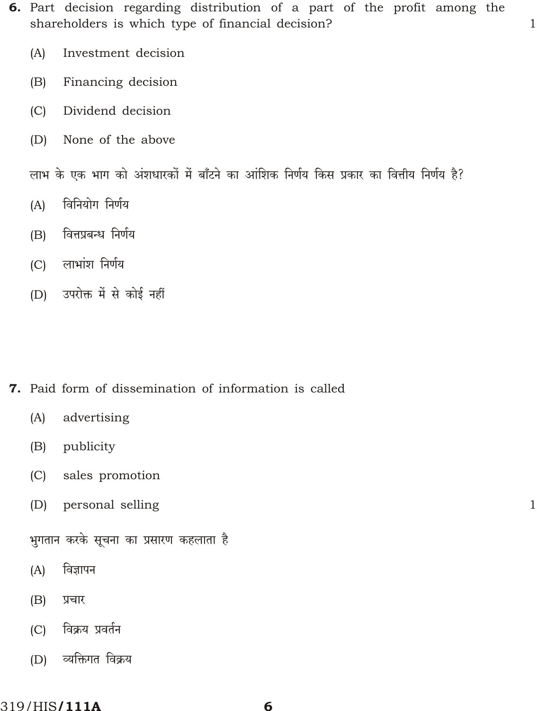6. Part decision regarding distribution of a part of the profit among the shareholders is which type of financial decision?

 $\mathbf{1}$ 

 $\mathbf{1}$ 

- Investment decision  $(A)$
- Financing decision  $(B)$
- $(C)$ Dividend decision
- None of the above  $(D)$

लाभ के एक भाग को अंशधारकों में बाँटने का आंशिक निर्णय किस प्रकार का वित्तीय निर्णय है?

- विनियोग निर्णय  $(A)$
- वित्तप्रबन्ध निर्णय  $(B)$
- (C) लाभांश निर्णय
- (D) उपरोक्त में से कोई नहीं

- 7. Paid form of dissemination of information is called
	- $(A)$ advertising
	- publicity  $(B)$
	- $(C)$ sales promotion
	- $(D)$ personal selling

भुगतान करके सूचना का प्रसारण कहलाता है

- विज्ञापन  $(A)$
- $(B)$ प्रचार
- विक्रय प्रवर्तन  $(C)$
- व्यक्तिगत विक्रय  $(D)$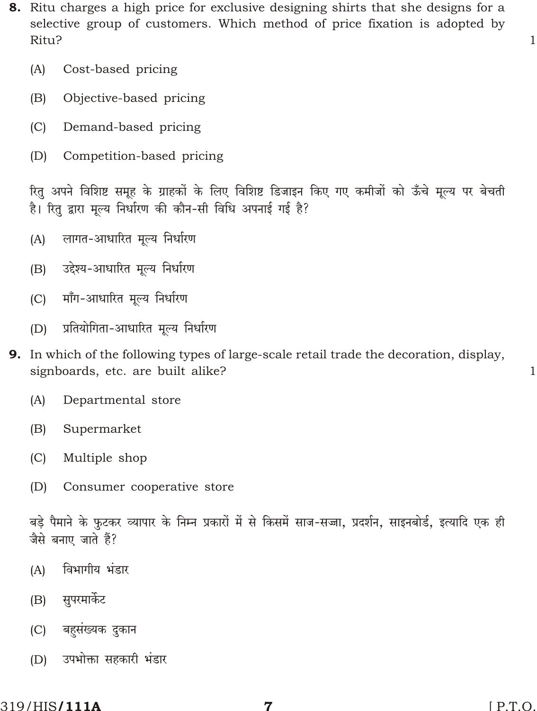- 8. Ritu charges a high price for exclusive designing shirts that she designs for a selective group of customers. Which method of price fixation is adopted by Ritu?
	- $(A)$ Cost-based pricing
	- $(B)$ Objective-based pricing
	- $(C)$ Demand-based pricing
	- $(D)$ Competition-based pricing

रितु अपने विशिष्ट समूह के ग्राहकों के लिए विशिष्ट डिजाइन किए गए कमीजों को ऊँचे मूल्य पर बेचती है। रितु द्वारा मूल्य निर्धारण की कौन-सी विधि अपनाई गई है?

- लागत-आधारित मुल्य निर्धारण  $(A)$
- उद्देश्य-आधारित मूल्य निर्धारण  $(B)$
- माँग-आधारित मूल्य निर्धारण  $(C)$
- प्रतियोगिता-आधारित मूल्य निर्धारण  $(D)$
- 9. In which of the following types of large-scale retail trade the decoration, display, signboards, etc. are built alike?
	- $(A)$ Departmental store
	- $(B)$ Supermarket
	- $(C)$ Multiple shop
	- $(D)$ Consumer cooperative store

बडे पैमाने के फटकर व्यापार के निम्न प्रकारों में से किसमें साज-सज्जा. प्रदर्शन. साइनबोर्ड. इत्यादि एक ही जैसे बनाए जाते हैं?

- विभागीय भंडार  $(A)$
- सुपरमार्केट  $(B)$
- बहुसंख्यक दुकान  $(C)$
- उपभोक्ता सहकारी भंडार  $(D)$

 $\mathbf{1}$ 

 $\mathbf{1}$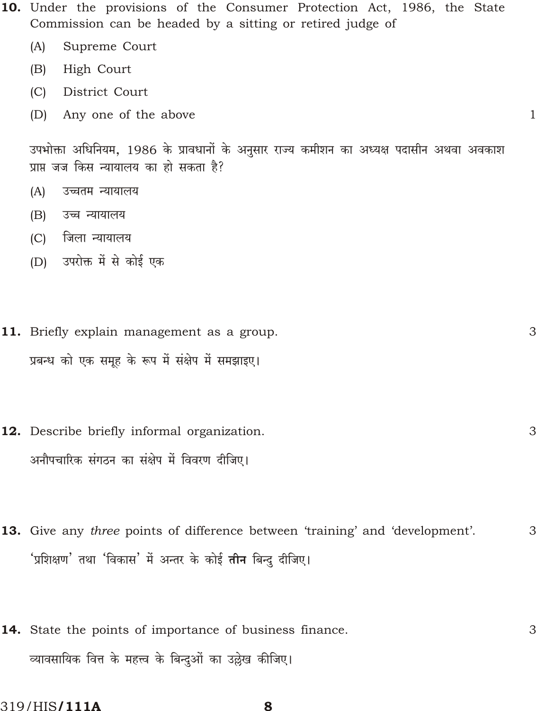- 10. Under the provisions of the Consumer Protection Act, 1986, the State Commission can be headed by a sitting or retired judge of
	- $(A)$ Supreme Court
	- $(B)$ High Court
	- $(C)$ District Court
	- (D) Any one of the above

उपभोक्ता अधिनियम, 1986 के प्रावधानों के अनुसार राज्य कमीशन का अध्यक्ष पदासीन अथवा अवकाश प्राप्त जज किस न्यायालय का हो सकता है?

 $\mathbf{1}$ 

- $(A)$ उच्चतम न्यायालय
- $(B)$ उच्च न्यायालय
- (C) जिला न्यायालय
- (D) उपरोक्त में से कोई एक
- 3 11. Briefly explain management as a group. प्रबन्ध को एक समृह के रूप में संक्षेप में समझाइए।
- 12. Describe briefly informal organization. 3 अनौपचारिक संगठन का संक्षेप में विवरण दीजिए।
- **13.** Give any *three* points of difference between 'training' and 'development'. 3 'प्रशिक्षण' तथा 'विकास' में अन्तर के कोई **तीन** बिन्द दीजिए।
- 14. State the points of importance of business finance. 3 व्यावसायिक वित्त के महत्त्व के बिन्दुओं का उल्लेख कीजिए।

319/HIS**/111A**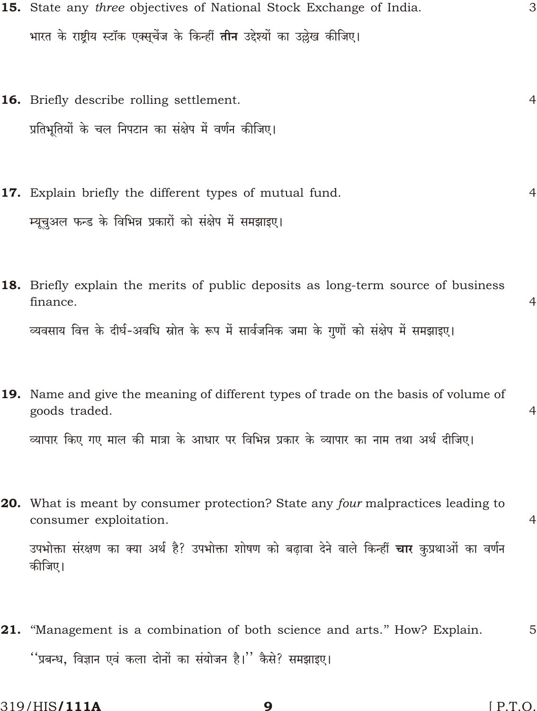- 15. State any three objectives of National Stock Exchange of India. 3 भारत के राष्टीय स्टॉक एक्सुचेंज के किन्हीं **तीन** उद्देश्यों का उल्लेख कीजिए।
- 16. Briefly describe rolling settlement.  $\overline{4}$ प्रतिभूतियों के चल निपटान का संक्षेप में वर्णन कीजिए।
- 17. Explain briefly the different types of mutual fund.  $\overline{4}$ म्यूचुअल फन्ड के विभिन्न प्रकारों को संक्षेप में समझाइए।
- **18.** Briefly explain the merits of public deposits as long-term source of business finance. व्यवसाय वित्त के दीर्घ-अवधि स्रोत के रूप में सार्वजनिक जमा के गणों को संक्षेप में समझाइए।
- 19. Name and give the meaning of different types of trade on the basis of volume of goods traded. व्यापार किए गए माल की मात्रा के आधार पर विभिन्न प्रकार के व्यापार का नाम तथा अर्थ दीजिए।
- 20. What is meant by consumer protection? State any four malpractices leading to consumer exploitation. उपभोक्ता संरक्षण का क्या अर्थ है? उपभोक्ता शोषण को बढ़ावा देने वाले किन्हीं **चार** कुप्रथाओं का वर्णन कीजिए।
- 21. "Management is a combination of both science and arts." How? Explain. 5 ''प्रबन्ध, विज्ञान एवं कला दोनों का संयोजन है।'' कैसे? समझाइए।

 $\overline{4}$ 

 $\overline{4}$ 

 $\overline{4}$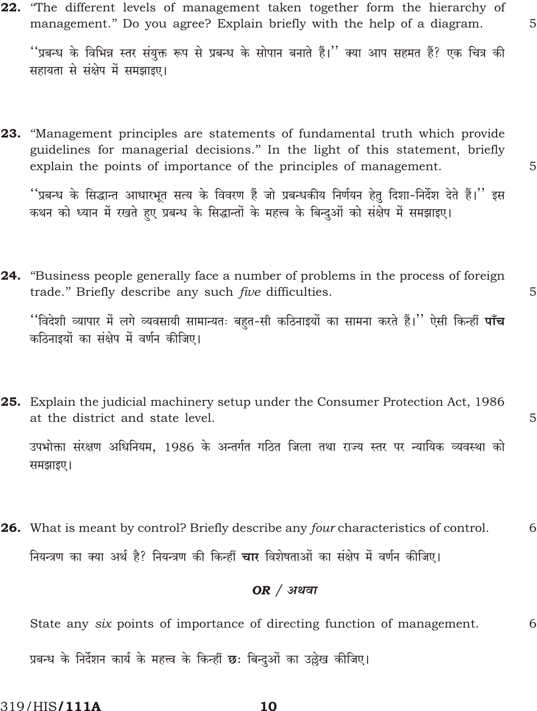22. "The different levels of management taken together form the hierarchy of management." Do you agree? Explain briefly with the help of a diagram.

''प्रबन्ध के विभिन्न स्तर संयुक्त रूप से प्रबन्ध के सोपान बनाते हैं।'' क्या आप सहमत हैं? एक चित्र की सहायता से संक्षेप में समझाइए।

23. "Management principles are statements of fundamental truth which provide guidelines for managerial decisions." In the light of this statement, briefly explain the points of importance of the principles of management.

''प्रबन्ध के सिद्धान्त आधारभूत सत्य के विवरण हैं जो प्रबन्धकीय निर्णयन हेतु दिशा-निर्देश देते हैं।'' इस कथन को ध्यान में रखते हुए प्रबन्ध के सिद्धान्तों के महत्त्व के बिन्दओं को संक्षेप में समझाइए।

**24.** "Business people generally face a number of problems in the process of foreign trade." Briefly describe any such five difficulties.

''विदेशी व्यापार में लगे व्यवसायी सामान्यतः बहत-सी कठिनाइयों का सामना करते हैं।'' ऐसी किन्हीं **पाँच** कठिनाइयों का संक्षेप में वर्णन कीजिए।

- 25. Explain the judicial machinery setup under the Consumer Protection Act, 1986 at the district and state level. उपभोक्ता संरक्षण अधिनियम, 1986 के अन्तर्गत गठित जिला तथा राज्य स्तर पर न्यायिक व्यवस्था को समझाइए।
- **26.** What is meant by control? Briefly describe any four characteristics of control. 6 नियन्त्रण का क्या अर्थ है? नियन्त्रण की किन्हीं चार विशेषताओं का संक्षेप में वर्णन कीजिए।

#### $OR / 397$

State any six points of importance of directing function of management. 6 प्रबन्ध के निर्देशन कार्य के महत्त्व के किन्हीं **छ**: बिन्दओं का उल्लेख कीजिए।

5

5

5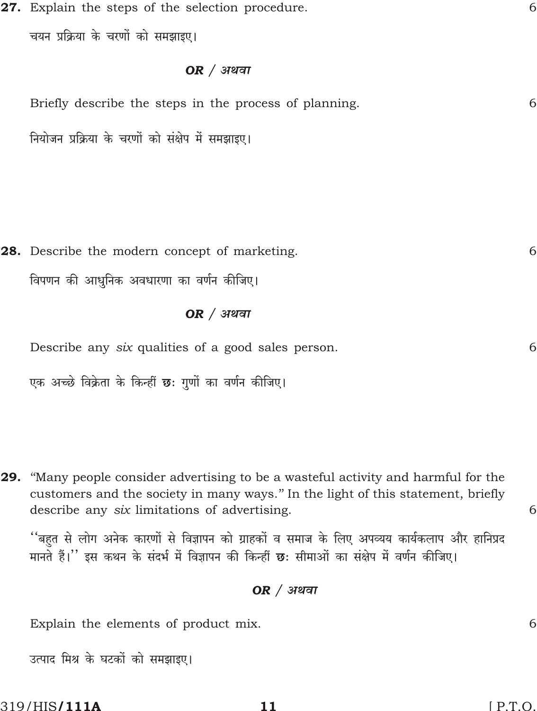27. Explain the steps of the selection procedure. 6

चयन प्रक्रिया के चरणों को समझाइए।

#### $OR / 31$ थवा

| Briefly describe the steps in the process of planning. | 61 |
|--------------------------------------------------------|----|
| नियोजन प्रक्रिया के चरणों को संक्षेप में समझाइए।       |    |
|                                                        |    |

**28.** Describe the modern concept of marketing. विपणन की आधुनिक अवधारणा का वर्णन कीजिए।

#### $OR / 39$ या

Describe any six qualities of a good sales person.

एक अच्छे विक्रेता के किन्हीं छः गुणों का वर्णन कीजिए।

**29.** "Many people consider advertising to be a wasteful activity and harmful for the customers and the society in many ways." In the light of this statement, briefly describe any six limitations of advertising.

''बहुत से लोग अनेक कारणों से विज्ञापन को ग्राहकों व समाज के लिए अपव्यय कार्यकलाप और हानिप्रद मानते हैं।'' इस कथन के संदर्भ में विज्ञापन की किन्हीं छः सीमाओं का संक्षेप में वर्णन कीजिए।

### $OR / 31$ थवा

Explain the elements of product mix.

उत्पाद मिश्र के घटकों को समझाइए।

6

6

6